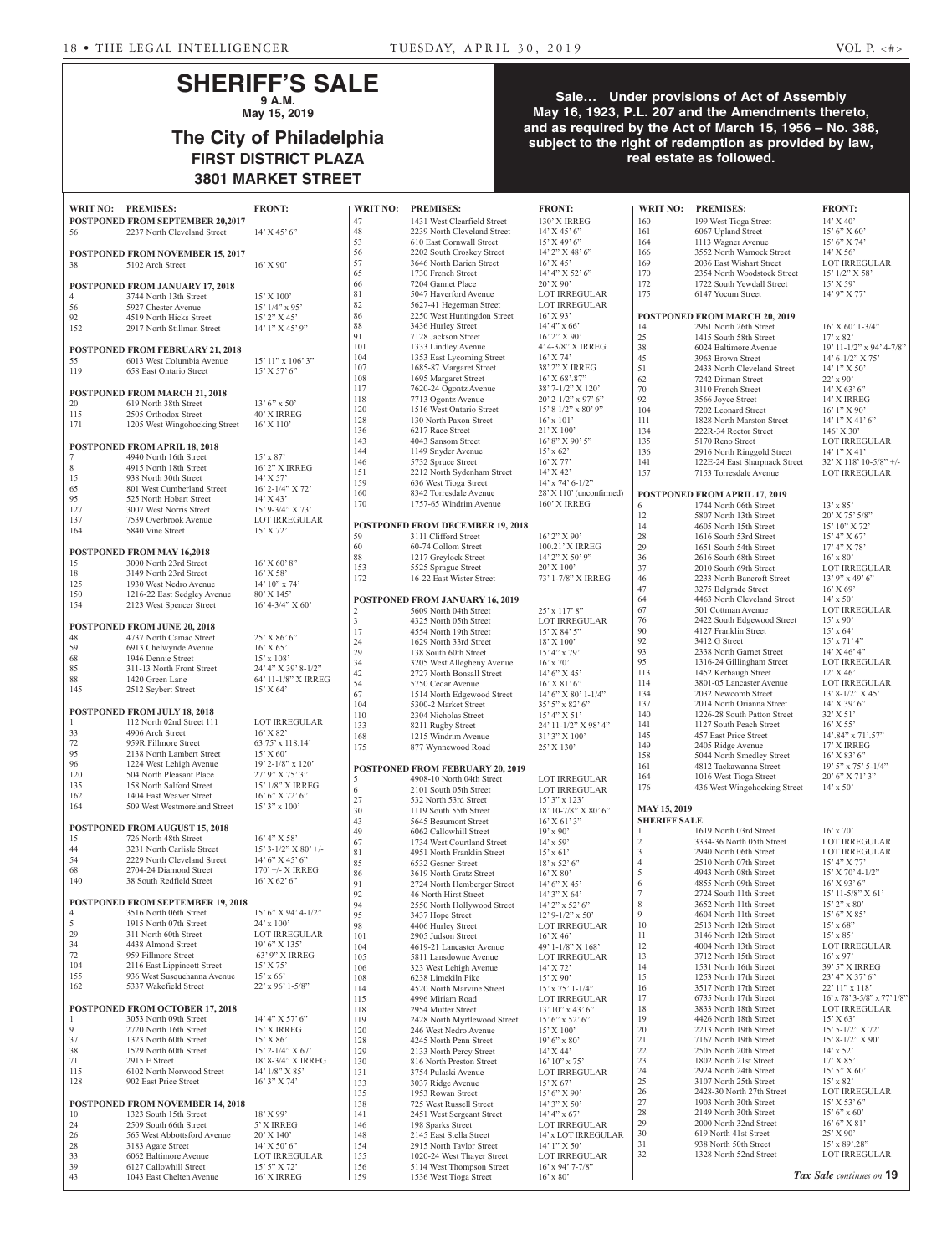# **SHERIFF'S SALE 9 A.M.**

**May 15, 2019**

# **The City of Philadelphia FIRST DISTRICT PLAZA 3801 MARKET STREET**

## **Sale… Under provisions of Act of Assembly May 16, 1923, P.L. 207 and the Amendments thereto, and as required by the Act of March 15, 1956 – No. 388, subject to the right of redemption as provided by law, real estate as followed.**

| .                  |                                                           |                                        |                 |                                                         |                                                 |                     |                                                       |                                            |  |  |
|--------------------|-----------------------------------------------------------|----------------------------------------|-----------------|---------------------------------------------------------|-------------------------------------------------|---------------------|-------------------------------------------------------|--------------------------------------------|--|--|
|                    |                                                           |                                        |                 |                                                         |                                                 |                     |                                                       |                                            |  |  |
| WRIT NO: PREMISES: |                                                           | <b>FRONT:</b>                          | <b>WRIT NO:</b> | <b>PREMISES:</b>                                        | <b>FRONT:</b>                                   | <b>WRIT NO:</b>     | <b>PREMISES:</b>                                      | <b>FRONT:</b>                              |  |  |
|                    | <b>POSTPONED FROM SEPTEMBER 20,2017</b>                   |                                        | 47              | 1431 West Clearfield Street                             | 130' X IRREG                                    | 160                 | 199 West Tioga Street                                 | $14'$ X 40'                                |  |  |
| 56                 | 2237 North Cleveland Street                               | $14'$ X $45'$ 6"                       | 48<br>53        | 2239 North Cleveland Street<br>610 East Cornwall Street | $14'$ X $45'$ 6"<br>$15'$ X 49' 6"              | 161<br>164          | 6067 Upland Street<br>1113 Wagner Avenue              | $15'6''$ X 60'<br>15' 6" X 74'             |  |  |
|                    | POSTPONED FROM NOVEMBER 15, 2017                          |                                        | 56              | 2202 South Croskey Street                               | 14' 2" X 48' 6"                                 | 166                 | 3552 North Warnock Street                             | $14'$ X 56'                                |  |  |
| 38                 | 5102 Arch Street                                          | $16'$ X 90'                            | 57              | 3646 North Darien Street                                | $16'$ X 45 <sup><math>\overline{)}</math></sup> | 169                 | 2036 East Wishart Street                              | <b>LOT IRREGULAR</b>                       |  |  |
|                    |                                                           |                                        | 65              | 1730 French Street                                      | 14' 4" X 52' 6"                                 | 170                 | 2354 North Woodstock Street                           | 15' 1/2" X 58'                             |  |  |
|                    | <b>POSTPONED FROM JANUARY 17, 2018</b>                    |                                        | 66              | 7204 Gannet Place                                       | 20' X 90'                                       | 172                 | 1722 South Yewdall Street                             | 15' X 59'                                  |  |  |
| $\overline{4}$     | 3744 North 13th Street                                    | 15' X 100'                             | 81              | 5047 Haverford Avenue                                   | LOT IRREGULAR                                   | 175                 | 6147 Yocum Street                                     | 14' 9" X 77'                               |  |  |
| 56                 | 5927 Chester Avenue                                       | $15'$ $1/4"$ x 95'                     | 82              | 5627-41 Hegerman Street                                 | LOT IRREGULAR                                   |                     |                                                       |                                            |  |  |
| 92                 | 4519 North Hicks Street                                   | $15'$ 2" X 45'                         | 86              | 2250 West Huntingdon Street                             | $16'$ X 93'                                     |                     | POSTPONED FROM MARCH 20, 2019                         |                                            |  |  |
| 152                | 2917 North Stillman Street                                | 14' 1" X 45' 9"                        | $88\,$          | 3436 Hurley Street                                      | $14' 4''$ x 66'                                 | 14                  | 2961 North 26th Street                                | $16'$ X 60' 1-3/4"                         |  |  |
|                    |                                                           |                                        | 91              | 7128 Jackson Street                                     | $16'$ 2" X 90'                                  | 25                  | 1415 South 58th Street                                | 17' x 82'                                  |  |  |
|                    | POSTPONED FROM FEBRUARY 21, 2018                          |                                        | 101             | 1333 Lindley Avenue                                     | 4' 4-3/8" X IRREG                               | 38                  | 6024 Baltimore Avenue                                 | 19' 11-1/2" x 94' 4-7/8"                   |  |  |
| 55                 | 6013 West Columbia Avenue                                 | $15'$ $11''$ x $106'$ $3''$            | 104             | 1353 East Lycoming Street                               | 16' X 74'                                       | 45                  | 3963 Brown Street                                     | $14'$ 6-1/2" X 75'                         |  |  |
| 119                | 658 East Ontario Street                                   | $15'$ X 57' 6"                         | 107<br>108      | 1685-87 Margaret Street                                 | 38' 2" X IRREG                                  | 51                  | 2433 North Cleveland Street                           | $14'1''$ X 50'                             |  |  |
|                    |                                                           |                                        | 117             | 1695 Margaret Street<br>7620-24 Ogontz Avenue           | $16'$ X 68'.87"<br>38' 7-1/2" X 120'            | 62<br>$70\,$        | 7242 Ditman Street<br>3110 French Street              | $22'$ x 90'<br>$14'$ X 63' 6"              |  |  |
|                    | POSTPONED FROM MARCH 21, 2018                             |                                        | 118             | 7713 Ogontz Avenue                                      | 20' 2-1/2" x 97' 6"                             | 92                  | 3566 Joyce Street                                     | 14' X IRREG                                |  |  |
| 20                 | 619 North 38th Street                                     | $13'6''$ x 50'                         | 120             | 1516 West Ontario Street                                | $15'$ 8 $1/2''$ x 80' 9"                        | 104                 | 7202 Leonard Street                                   | $16'1''$ X 90'                             |  |  |
| 115                | 2505 Orthodox Street                                      | 40' X IRREG                            | 128             | 130 North Paxon Street                                  | $16'$ x $101'$                                  | 111                 | 1828 North Marston Street                             | $14'1''$ X 41' 6"                          |  |  |
| 171                | 1205 West Wingohocking Street                             | $16'$ X $110'$                         | 136             | 6217 Race Street                                        | $21'$ X $100'$                                  | 134                 | 222R-34 Rector Street                                 | $146'$ X 30'                               |  |  |
|                    | POSTPONED FROM APRIL 18, 2018                             |                                        | 143             | 4043 Sansom Street                                      | 16' 8" X 90' 5"                                 | 135                 | 5170 Reno Street                                      | LOT IRREGULAR                              |  |  |
| 7                  | 4940 North 16th Street                                    | $15'$ x 87'                            | 144             | 1149 Snyder Avenue                                      | $15'$ x 62'                                     | 136                 | 2916 North Ringgold Street                            | $14'1''$ X 41'                             |  |  |
| 8                  | 4915 North 18th Street                                    | 16' 2" X IRREG                         | 146             | 5732 Spruce Street                                      | 16' X 77'                                       | 141                 | 122E-24 East Sharpnack Street                         | $32'$ X 118' 10-5/8" +/-                   |  |  |
| 15                 | 938 North 30th Street                                     | $14'$ X 57'                            | 151             | 2212 North Sydenham Street                              | 14' X 42'                                       | 157                 | 7153 Torresdale Avenue                                | LOT IRREGULAR                              |  |  |
| 65                 | 801 West Cumberland Street                                | $16'$ 2-1/4" X 72"                     | 159             | 636 West Tioga Street                                   | $14'$ x 74' 6-1/2"                              |                     |                                                       |                                            |  |  |
| 95                 | 525 North Hobart Street                                   | $14'$ X 43'                            | 160             | 8342 Torresdale Avenue                                  | 28' X 110' (unconfirmed)                        |                     | POSTPONED FROM APRIL 17, 2019                         |                                            |  |  |
| 127                | 3007 West Norris Street                                   | 15' 9-3/4" X 73'                       | 170             | 1757-65 Windrim Avenue                                  | 160' X IRREG                                    | 6                   | 1744 North 06th Street                                | $13' \times 85'$                           |  |  |
| 137                | 7539 Overbrook Avenue                                     | <b>LOT IRREGULAR</b>                   |                 | POSTPONED FROM DECEMBER 19, 2018                        |                                                 | 12                  | 5807 North 13th Street                                | 20' X 75' 5/8"                             |  |  |
| 164                | 5840 Vine Street                                          | $15'$ X 72'                            | 59              | 3111 Clifford Street                                    | $16'$ 2" X 90'                                  | 14<br>28            | 4605 North 15th Street<br>1616 South 53rd Street      | 15' 10" X 72'<br>15' 4" X 67'              |  |  |
|                    |                                                           |                                        | 60              | 60-74 Collom Street                                     | 100.21' X IRREG                                 | 29                  | 1651 South 54th Street                                | 17' 4" X 78'                               |  |  |
|                    | <b>POSTPONED FROM MAY 16,2018</b>                         |                                        | 88              | 1217 Greylock Street                                    | 14' 2" X 50' 9"                                 | 36                  | 2616 South 68th Street                                | $16'$ x $80'$                              |  |  |
| 15                 | 3000 North 23rd Street                                    | $16'$ X 60' 8"                         | 153             | 5525 Sprague Street                                     | 20' X 100'                                      | 37                  | 2010 South 69th Street                                | LOT IRREGULAR                              |  |  |
| 18                 | 3149 North 23rd Street                                    | $16'$ X 58'                            | 172             | 16-22 East Wister Street                                | 73' 1-7/8" X IRREG                              | 46                  | 2233 North Bancroft Street                            | $13'$ 9" x 49' 6"                          |  |  |
| 125                | 1930 West Nedro Avenue                                    | $14'$ 10" x 74"                        |                 |                                                         |                                                 | 47                  | 3275 Belgrade Street                                  | $16'$ X 69'                                |  |  |
| 150<br>154         | 1216-22 East Sedgley Avenue<br>2123 West Spencer Street   | 80' X 145'<br>$16'$ 4-3/4" X 60'       |                 | POSTPONED FROM JANUARY 16, 2019                         |                                                 | 64                  | 4463 North Cleveland Street                           | $14'$ x 50'                                |  |  |
|                    |                                                           |                                        | $\overline{2}$  | 5609 North 04th Street                                  | 25' x 117' 8"                                   | 67                  | 501 Cottman Avenue                                    | LOT IRREGULAR                              |  |  |
|                    | POSTPONED FROM JUNE 20, 2018                              |                                        | $\overline{3}$  | 4325 North 05th Street                                  | <b>LOT IRREGULAR</b>                            | 76                  | 2422 South Edgewood Street                            | $15'$ x 90'                                |  |  |
| 48                 | 4737 North Camac Street                                   | 25' X 86' 6"                           | 17              | 4554 North 19th Street                                  | $15'$ X 84' 5"                                  | 90                  | 4127 Franklin Street                                  | $15'$ x 64'                                |  |  |
| 59                 | 6913 Chelwynde Avenue                                     | $16'$ X 65'                            | 24              | 1629 North 33rd Street                                  | $18'$ X $100'$                                  | 92<br>93            | 3412 G Street                                         | $15'$ x $71'$ 4"<br>$14'$ X 46' 4"         |  |  |
| 68                 | 1946 Dennie Street                                        | $15' \times 108'$                      | 29<br>34        | 138 South 60th Street<br>3205 West Allegheny Avenue     | $15' 4''$ x 79'<br>$16'$ x $70'$                | 95                  | 2338 North Garnet Street<br>1316-24 Gillingham Street | LOT IRREGULAR                              |  |  |
| 85                 | 311-13 North Front Street                                 | 24' 4" X 39' 8-1/2"                    | 42              | 2727 North Bonsall Street                               | $14'6''$ X 45'                                  | 113                 | 1452 Kerbaugh Street                                  | $12'$ X 46'                                |  |  |
| 88                 | 1420 Green Lane                                           | 64' 11-1/8" X IRREG                    | 54              | 5750 Cedar Avenue                                       | $16'$ X 81' 6"                                  | 114                 | 3801-05 Lancaster Avenue                              | LOT IRREGULAR                              |  |  |
| 145                | 2512 Seybert Street                                       | 15' X 64'                              | 67              | 1514 North Edgewood Street                              | $14'$ 6" X 80' 1-1/4"                           | 134                 | 2032 Newcomb Street                                   | 13' 8-1/2" X 45'                           |  |  |
|                    |                                                           |                                        | 104             | 5300-2 Market Street                                    | $35'5''$ x 82' 6                                | 137                 | 2014 North Orianna Street                             | 14' X 39' 6"                               |  |  |
|                    | POSTPONED FROM JULY 18, 2018                              |                                        | 110             | 2304 Nicholas Street                                    | 15' 4" X 51'                                    | 140                 | 1226-28 South Patton Street                           | $32'$ X 51'                                |  |  |
|                    | 112 North 02nd Street 111                                 | <b>LOT IRREGULAR</b>                   | 133             | 8211 Rugby Street                                       | 24' 11-1/2" X 98' 4"                            | 141                 | 1127 South Peach Street                               | 16' X 55'                                  |  |  |
| 33                 | 4906 Arch Street                                          | $16'$ X 82'                            | 168             | 1215 Windrim Avenue                                     | 31' 3" X 100'                                   | 145                 | 457 East Price Street                                 | 14'.84" x 71'.57"                          |  |  |
| 72<br>95           | 959R Fillmore Street<br>2138 North Lambert Street         | 63.75' x 118.14'<br>15' X 60'          | 175             | 877 Wynnewood Road                                      | 25' X 130'                                      | 149                 | 2405 Ridge Avenue                                     | 17' X IRREG                                |  |  |
| 96                 | 1224 West Lehigh Avenue                                   | 19' 2-1/8" x 120'                      |                 |                                                         |                                                 | 158                 | 5044 North Smedley Street                             | $16'$ X 83' 6"                             |  |  |
| 120                | 504 North Pleasant Place                                  | 27' 9" X 75' 3"                        |                 | <b>POSTPONED FROM FEBRUARY 20, 2019</b>                 |                                                 | 161<br>164          | 4812 Tackawanna Street<br>1016 West Tioga Street      | $19'$ 5" x 75' 5-1/4"<br>$20'$ 6" X 71' 3" |  |  |
| 135                | 158 North Salford Street                                  | $15^\circ\,1/8^{\prime\prime}$ X IRREG | 5               | 4908-10 North 04th Street                               | <b>LOT IRREGULAR</b>                            | 176                 | 436 West Wingohocking Street                          | $14' \times 50'$                           |  |  |
| 162                | 1404 East Weaver Street                                   | 16' 6" X 72' 6"                        | 6               | 2101 South 05th Street                                  | LOT IRREGULAR                                   |                     |                                                       |                                            |  |  |
| 164                | 509 West Westmoreland Street                              | $15'3''$ x 100'                        | $27\,$<br>30    | 532 North 53rd Street<br>1119 South 55th Street         | $15'3''$ x $123'$<br>18' 10-7/8" X 80' 6"       | <b>MAY 15, 2019</b> |                                                       |                                            |  |  |
|                    |                                                           |                                        | 43              | 5645 Beaumont Street                                    | $16'$ X 61' 3"                                  | <b>SHERIFF SALE</b> |                                                       |                                            |  |  |
|                    | <b>POSTPONED FROM AUGUST 15, 2018</b>                     |                                        | 49              | 6062 Callowhill Street                                  | $19'$ x 90'                                     |                     | 1619 North 03rd Street                                | $16'$ x 70'                                |  |  |
| 15                 | 726 North 48th Street                                     | 16' 4'' X 58'                          | 67              | 1734 West Courtland Street                              | 14' x 59'                                       | $\overline{2}$      | 3334-36 North 05th Street                             | LOT IRREGULAR                              |  |  |
| 44                 | 3231 North Carlisle Street                                | $15'$ 3-1/2" X 80' +/-                 | 81              | 4951 North Franklin Street                              | $15' \times 61'$                                | $\overline{3}$      | 2940 North 06th Street                                | LOT IRREGULAR                              |  |  |
| 54                 | 2229 North Cleveland Street                               | $14'6''$ X 45' 6"                      | 85              | 6532 Gesner Street                                      | $18'$ x 52' 6"                                  | $\overline{4}$      | 2510 North 07th Street                                | 15' 4" X 77'                               |  |  |
| 68<br>140          | 2704-24 Diamond Street<br>38 South Redfield Street        | $170'$ +/- X IRREG<br>$16'$ X 62' 6"   | 86              | 3619 North Gratz Street                                 | $16'$ X $80'$                                   | 5                   | 4943 North 08th Street                                | $15'$ X 70' 4-1/2"                         |  |  |
|                    |                                                           |                                        | 91              | 2724 North Hemberger Street                             | $14'6''$ X 45'                                  | 6                   | 4855 North 09th Street                                | $16'$ X 93' 6"                             |  |  |
|                    | POSTPONED FROM SEPTEMBER 19, 2018                         |                                        | 92<br>94        | 46 North Hirst Street                                   | $14'3''$ X 64'<br>$14'$ 2" x 52' 6"             | $\tau$<br>8         | 2724 South 11th Street<br>3652 North 11th Street      | $15'$ 11-5/8" X 61'<br>15' 2" x 80'        |  |  |
|                    | 3516 North 06th Street                                    | 15' 6" X 94' 4-1/2"                    | 95              | 2550 North Hollywood Street<br>3437 Hope Street         | $12'$ 9- $1/2''$ x 50'                          | 9                   | 4604 North 11th Street                                | 15' 6'' X 85'                              |  |  |
| 5                  | 1915 North 07th Street                                    | 24' x 100'                             | 98              | 4406 Hurley Street                                      | <b>LOT IRREGULAR</b>                            | 10                  | 2513 North 12th Street                                | $15'$ x 68"                                |  |  |
| 29                 | 311 North 60th Street                                     | LOT IRREGULAR                          | 101             | 2905 Judson Street                                      | 16' X 46'                                       | 11                  | 3146 North 12th Street                                | $15' \times 85'$                           |  |  |
| 34                 | 4438 Almond Street                                        | 19' 6" X 135'                          | 104             | 4619-21 Lancaster Avenue                                | 49' 1-1/8" X 168'                               | 12                  | 4004 North 13th Street                                | LOT IRREGULAR                              |  |  |
| 72                 | 959 Fillmore Street                                       | 63' 9" X IRREG                         | 105             | 5811 Lansdowne Avenue                                   | <b>LOT IRREGULAR</b>                            | 13                  | 3712 North 15th Street                                | $16'$ x 97'                                |  |  |
| 104                | 2116 East Lippincott Street                               | $15'$ X 75'                            | 106             | 323 West Lehigh Avenue                                  | 14' X 72'                                       | 14                  | 1531 North 16th Street                                | 39' 5" X IRREG                             |  |  |
| 155                | 936 West Susquehanna Avenue                               | $15'$ x 66'                            | 108             | 6238 Limekiln Pike                                      | 15' X 90'                                       | 15                  | 1253 North 17th Street                                | 23' 4" X 37' 6"                            |  |  |
| 162                | 5337 Wakefield Street                                     | $22'$ x 96' 1-5/8"                     | 114             | 4520 North Marvine Street                               | $15'$ x $75'$ 1-1/4"                            | 16                  | 3517 North 17th Street                                | 22' 11" x 118'                             |  |  |
|                    |                                                           |                                        | 115             | 4996 Miriam Road                                        | <b>LOT IRREGULAR</b>                            | 17                  | 6735 North 17th Street                                | $16'$ x 78' 3-5/8" x 77' $1/8"$            |  |  |
|                    | POSTPONED FROM OCTOBER 17, 2018<br>3053 North 09th Street | 14' 4'' X 57' 6''                      | 118             | 2954 Mutter Street                                      | $13'$ 10" x 43' 6"                              | 18<br>19            | 3833 North 18th Street<br>4426 North 18th Street      | LOT IRREGULAR<br>15' X 63'                 |  |  |
| 9                  | 2720 North 16th Street                                    | 15' X IRREG                            | 119<br>120      | 2428 North Myrtlewood Street<br>246 West Nedro Avenue   | $15'6''$ x 52' 6"<br>15' X 100'                 | 20                  | 2213 North 19th Street                                | 15' 5-1/2" X 72'                           |  |  |
| 37                 | 1323 North 60th Street                                    | $15'$ X $86'$                          | 128             | 4245 North Penn Street                                  | $19'6''$ x 80'                                  | 21                  | 7167 North 19th Street                                | 15' 8-1/2" X 90'                           |  |  |
| 38                 | 1529 North 60th Street                                    | $15'$ 2-1/4" X 67'                     | 129             | 2133 North Percy Street                                 | 14' X 44'                                       | $22\,$              | 2505 North 20th Street                                | $14' \times 52'$                           |  |  |
| 71                 | 2915 E Street                                             | 18' 8-3/4" X IRREG                     | 130             | 816 North Preston Street                                | $16' 10''$ x 75'                                | 23                  | 1802 North 21st Street                                | 17' X 85'                                  |  |  |
| 115                | 6102 North Norwood Street                                 | $14'$ $1/8''$ X $85'$                  | 131             | 3754 Pulaski Avenue                                     | <b>LOT IRREGULAR</b>                            | 24                  | 2924 North 24th Street                                | $15'5''$ X 60'                             |  |  |
| 128                | 902 East Price Street                                     | $16'3''$ X 74'                         | 133             | 3037 Ridge Avenue                                       | 15' X 67'                                       | 25                  | 3107 North 25th Street                                | $15' \times 82'$                           |  |  |
|                    |                                                           |                                        | 135             | 1953 Rowan Street                                       | 15' 6'' X 90'                                   | 26                  | 2428-30 North 27th Street                             | LOT IRREGULAR                              |  |  |
|                    | POSTPONED FROM NOVEMBER 14, 2018                          |                                        | 138             | 725 West Russell Street                                 | 14'3'' X 50'                                    | 27                  | 1903 North 30th Street                                | $15'$ X 53' 6"                             |  |  |
| 10                 | 1323 South 15th Street                                    | 18' X 99'                              | 141             | 2451 West Sergeant Street                               | $14' 4''$ x 67'                                 | 28<br>29            | 2149 North 30th Street                                | $15'6''$ x 60'                             |  |  |
| 24<br>26           | 2509 South 66th Street                                    | 5' X IRREG<br>20' X 140'               | 146<br>148      | 198 Sparks Street<br>2145 East Stella Street            | LOT IRREGULAR                                   | 30                  | 2000 North 32nd Street<br>619 North 41st Street       | 16' 6'' X 81'<br>25' X 90'                 |  |  |
| 28                 | 565 West Abbottsford Avenue<br>3183 Agate Street          | $14'$ X 50' 6"                         | 154             | 2915 North Taylor Street                                | 14' x LOT IRREGULAR<br>14' 1" X 50'             | 31                  | 938 North 50th Street                                 | 15' x 89'.28"                              |  |  |
| 33                 | 6062 Baltimore Avenue                                     | <b>LOT IRREGULAR</b>                   | 155             | 1020-24 West Thayer Street                              | LOT IRREGULAR                                   | 32                  | 1328 North 52nd Street                                | LOT IRREGULAR                              |  |  |
| 39                 | 6127 Callowhill Street                                    | 15' 5" X 72'                           | 156             | 5114 West Thompson Street                               | $16'$ x 94' 7-7/8"                              |                     |                                                       |                                            |  |  |
| 43                 | 1043 East Chelten Avenue                                  | 16' X IRREG                            | 159             | 1536 West Tioga Street                                  | $16'$ x $80'$                                   |                     |                                                       | Tax Sale continues on 19                   |  |  |